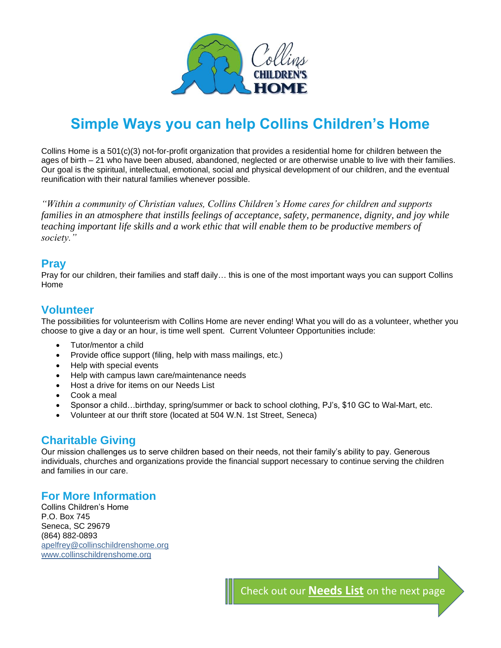

# **Simple Ways you can help Collins Children's Home**

Collins Home is a 501(c)(3) not-for-profit organization that provides a residential home for children between the ages of birth – 21 who have been abused, abandoned, neglected or are otherwise unable to live with their families. Our goal is the spiritual, intellectual, emotional, social and physical development of our children, and the eventual reunification with their natural families whenever possible.

*"Within a community of Christian values, Collins Children's Home cares for children and supports families in an atmosphere that instills feelings of acceptance, safety, permanence, dignity, and joy while teaching important life skills and a work ethic that will enable them to be productive members of society."*

### **Pray**

Pray for our children, their families and staff daily… this is one of the most important ways you can support Collins Home

### **Volunteer**

The possibilities for volunteerism with Collins Home are never ending! What you will do as a volunteer, whether you choose to give a day or an hour, is time well spent. Current Volunteer Opportunities include:

- Tutor/mentor a child
- Provide office support (filing, help with mass mailings, etc.)
- Help with special events
- Help with campus lawn care/maintenance needs
- Host a drive for items on our Needs List
- Cook a meal
- Sponsor a child…birthday, spring/summer or back to school clothing, PJ's, \$10 GC to Wal-Mart, etc.
- Volunteer at our thrift store (located at 504 W.N. 1st Street, Seneca)

# **Charitable Giving**

Our mission challenges us to serve children based on their needs, not their family's ability to pay. Generous individuals, churches and organizations provide the financial support necessary to continue serving the children and families in our care.

## **For More Information**

Collins Children's Home P.O. Box 745 Seneca, SC 29679 (864) 882-0893 [apelfrey@collinschildrenshome.org](mailto:apelfrey@collinschildrenshome.org) [www.collinschildrenshome.org](http://www.collinschildrenshome.org/)

Check out our **Needs List** on the next page